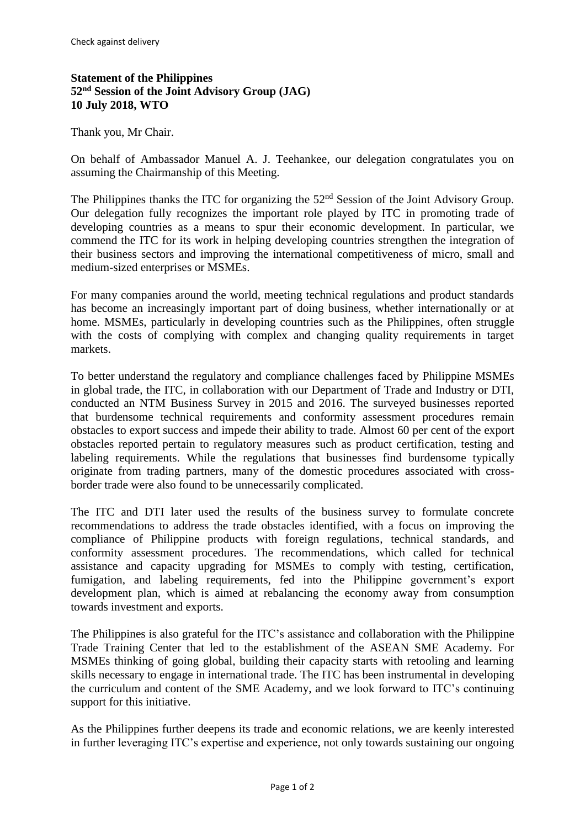## **Statement of the Philippines 52nd Session of the Joint Advisory Group (JAG) 10 July 2018, WTO**

Thank you, Mr Chair.

On behalf of Ambassador Manuel A. J. Teehankee, our delegation congratulates you on assuming the Chairmanship of this Meeting.

The Philippines thanks the ITC for organizing the 52<sup>nd</sup> Session of the Joint Advisory Group. Our delegation fully recognizes the important role played by ITC in promoting trade of developing countries as a means to spur their economic development. In particular, we commend the ITC for its work in helping developing countries strengthen the integration of their business sectors and improving the international competitiveness of micro, small and medium-sized enterprises or MSMEs.

For many companies around the world, meeting technical regulations and product standards has become an increasingly important part of doing business, whether internationally or at home. MSMEs, particularly in developing countries such as the Philippines, often struggle with the costs of complying with complex and changing quality requirements in target markets.

To better understand the regulatory and compliance challenges faced by Philippine MSMEs in global trade, the ITC, in collaboration with our Department of Trade and Industry or DTI, conducted an NTM Business Survey in 2015 and 2016. The surveyed businesses reported that burdensome technical requirements and conformity assessment procedures remain obstacles to export success and impede their ability to trade. Almost 60 per cent of the export obstacles reported pertain to regulatory measures such as product certification, testing and labeling requirements. While the regulations that businesses find burdensome typically originate from trading partners, many of the domestic procedures associated with crossborder trade were also found to be unnecessarily complicated.

The ITC and DTI later used the results of the business survey to formulate concrete recommendations to address the trade obstacles identified, with a focus on improving the compliance of Philippine products with foreign regulations, technical standards, and conformity assessment procedures. The recommendations, which called for technical assistance and capacity upgrading for MSMEs to comply with testing, certification, fumigation, and labeling requirements, fed into the Philippine government's export development plan, which is aimed at rebalancing the economy away from consumption towards investment and exports.

The Philippines is also grateful for the ITC's assistance and collaboration with the Philippine Trade Training Center that led to the establishment of the ASEAN SME Academy. For MSMEs thinking of going global, building their capacity starts with retooling and learning skills necessary to engage in international trade. The ITC has been instrumental in developing the curriculum and content of the SME Academy, and we look forward to ITC's continuing support for this initiative.

As the Philippines further deepens its trade and economic relations, we are keenly interested in further leveraging ITC's expertise and experience, not only towards sustaining our ongoing